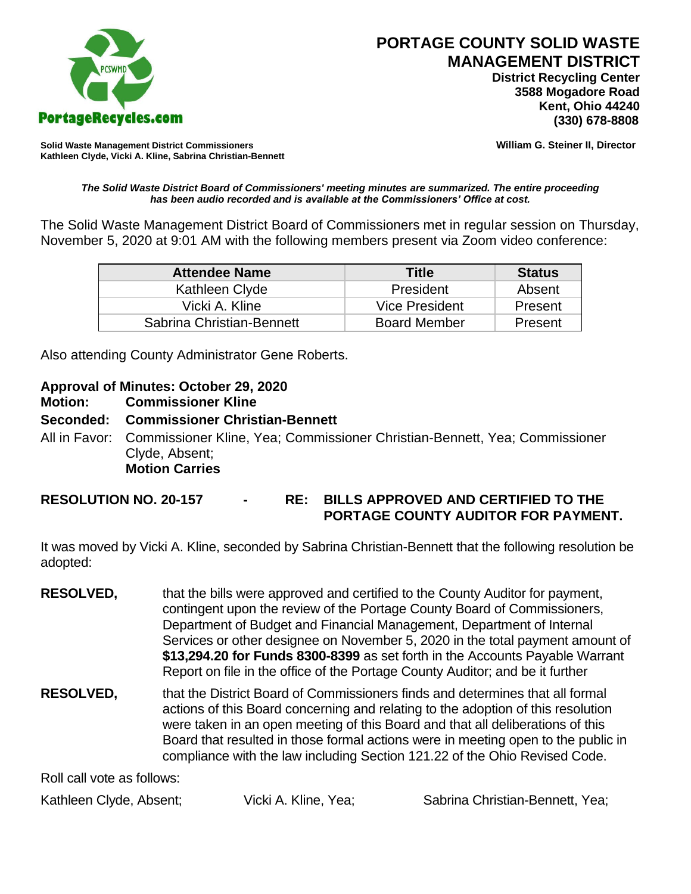

 **District Recycling Center 3588 Mogadore Road Kent, Ohio 44240**

**Solid Waste Management District Commissioners William G. Steiner II, Director Kathleen Clyde, Vicki A. Kline, Sabrina Christian-Bennett** 

#### *The Solid Waste District Board of Commissioners' meeting minutes are summarized. The entire proceeding has been audio recorded and is available at the Commissioners' Office at cost.*

The Solid Waste Management District Board of Commissioners met in regular session on Thursday, November 5, 2020 at 9:01 AM with the following members present via Zoom video conference:

| <b>Attendee Name</b>      | Title               | <b>Status</b> |
|---------------------------|---------------------|---------------|
| Kathleen Clyde            | President           | Absent        |
| Vicki A. Kline            | Vice President      | Present       |
| Sabrina Christian-Bennett | <b>Board Member</b> | Present       |

Also attending County Administrator Gene Roberts.

## **Approval of Minutes: October 29, 2020**

### **Motion: Commissioner Kline**

### **Seconded: Commissioner Christian-Bennett**

All in Favor: Commissioner Kline, Yea; Commissioner Christian-Bennett, Yea; Commissioner Clyde, Absent; **Motion Carries**

# **RESOLUTION NO. 20-157 - RE: BILLS APPROVED AND CERTIFIED TO THE PORTAGE COUNTY AUDITOR FOR PAYMENT.**

It was moved by Vicki A. Kline, seconded by Sabrina Christian-Bennett that the following resolution be adopted:

- **RESOLVED,** that the bills were approved and certified to the County Auditor for payment, contingent upon the review of the Portage County Board of Commissioners, Department of Budget and Financial Management, Department of Internal Services or other designee on November 5, 2020 in the total payment amount of **\$13,294.20 for Funds 8300-8399** as set forth in the Accounts Payable Warrant Report on file in the office of the Portage County Auditor; and be it further
- **RESOLVED,** that the District Board of Commissioners finds and determines that all formal actions of this Board concerning and relating to the adoption of this resolution were taken in an open meeting of this Board and that all deliberations of this Board that resulted in those formal actions were in meeting open to the public in compliance with the law including Section 121.22 of the Ohio Revised Code.

Roll call vote as follows:

Kathleen Clyde, Absent; Vicki A. Kline, Yea; Sabrina Christian-Bennett, Yea;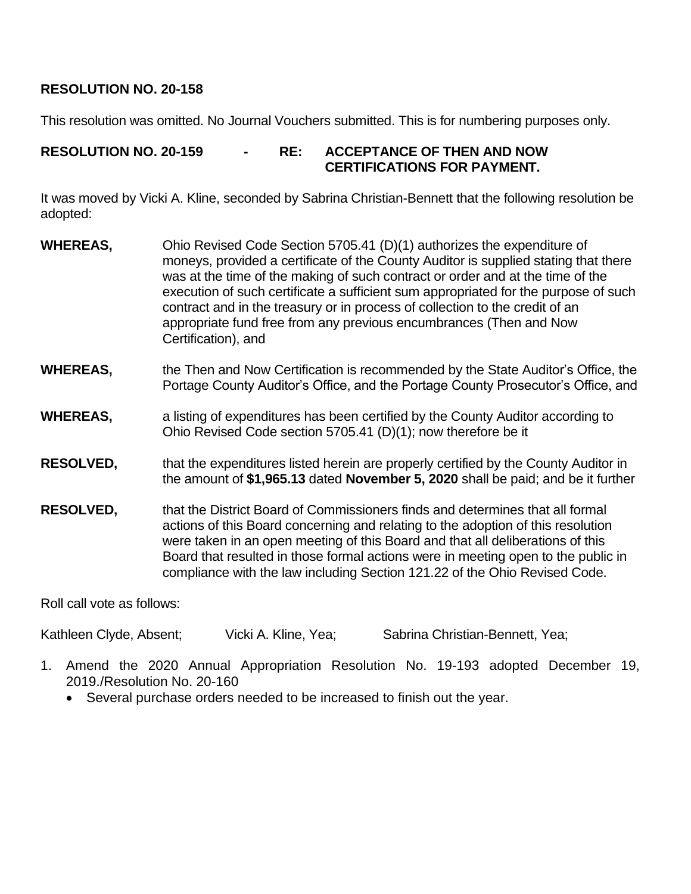# **RESOLUTION NO. 20-158**

This resolution was omitted. No Journal Vouchers submitted. This is for numbering purposes only.

# **RESOLUTION NO. 20-159 - RE: ACCEPTANCE OF THEN AND NOW CERTIFICATIONS FOR PAYMENT.**

It was moved by Vicki A. Kline, seconded by Sabrina Christian-Bennett that the following resolution be adopted:

- **WHEREAS,** Ohio Revised Code Section 5705.41 (D)(1) authorizes the expenditure of moneys, provided a certificate of the County Auditor is supplied stating that there was at the time of the making of such contract or order and at the time of the execution of such certificate a sufficient sum appropriated for the purpose of such contract and in the treasury or in process of collection to the credit of an appropriate fund free from any previous encumbrances (Then and Now Certification), and
- **WHEREAS,** the Then and Now Certification is recommended by the State Auditor's Office, the Portage County Auditor's Office, and the Portage County Prosecutor's Office, and
- **WHEREAS,** a listing of expenditures has been certified by the County Auditor according to Ohio Revised Code section 5705.41 (D)(1); now therefore be it
- **RESOLVED,** that the expenditures listed herein are properly certified by the County Auditor in the amount of **\$1,965.13** dated **November 5, 2020** shall be paid; and be it further
- **RESOLVED,** that the District Board of Commissioners finds and determines that all formal actions of this Board concerning and relating to the adoption of this resolution were taken in an open meeting of this Board and that all deliberations of this Board that resulted in those formal actions were in meeting open to the public in compliance with the law including Section 121.22 of the Ohio Revised Code.

Roll call vote as follows:

Kathleen Clyde, Absent; Vicki A. Kline, Yea; Sabrina Christian-Bennett, Yea;

- 1. Amend the 2020 Annual Appropriation Resolution No. 19-193 adopted December 19, 2019./Resolution No. 20-160
	- Several purchase orders needed to be increased to finish out the year.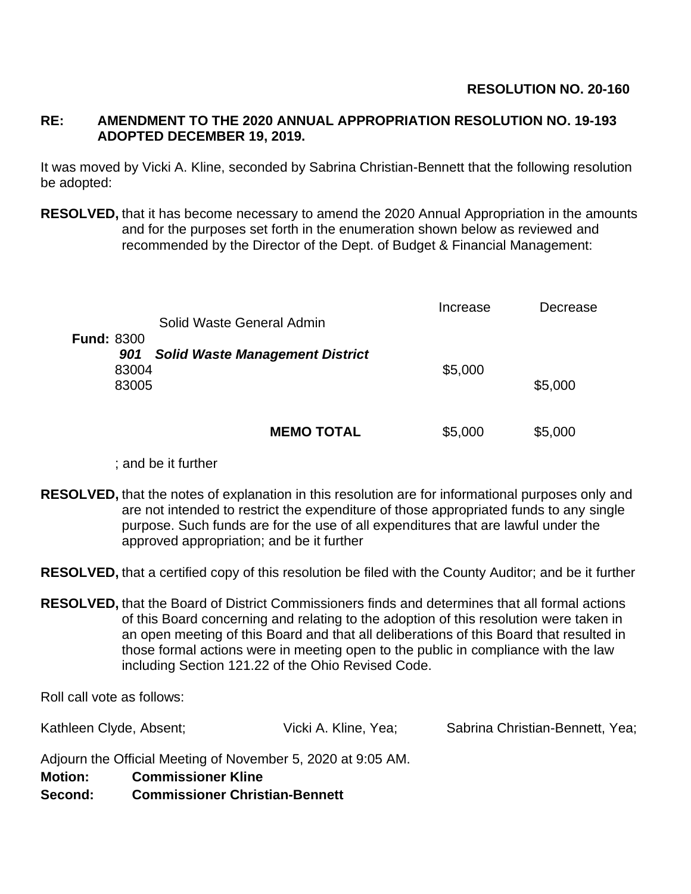### **RE: AMENDMENT TO THE 2020 ANNUAL APPROPRIATION RESOLUTION NO. 19-193 ADOPTED DECEMBER 19, 2019.**

It was moved by Vicki A. Kline, seconded by Sabrina Christian-Bennett that the following resolution be adopted:

**RESOLVED,** that it has become necessary to amend the 2020 Annual Appropriation in the amounts and for the purposes set forth in the enumeration shown below as reviewed and recommended by the Director of the Dept. of Budget & Financial Management:

| Solid Waste General Admin                     | Increase | Decrease |
|-----------------------------------------------|----------|----------|
| <b>Fund: 8300</b>                             |          |          |
| <b>Solid Waste Management District</b><br>901 |          |          |
| 83004                                         | \$5,000  |          |
| 83005                                         |          | \$5,000  |
|                                               |          |          |
| <b>MEMO TOTAL</b>                             | \$5,000  | \$5,000  |

; and be it further

**RESOLVED,** that the notes of explanation in this resolution are for informational purposes only and are not intended to restrict the expenditure of those appropriated funds to any single purpose. Such funds are for the use of all expenditures that are lawful under the approved appropriation; and be it further

**RESOLVED,** that a certified copy of this resolution be filed with the County Auditor; and be it further

**RESOLVED,** that the Board of District Commissioners finds and determines that all formal actions of this Board concerning and relating to the adoption of this resolution were taken in an open meeting of this Board and that all deliberations of this Board that resulted in those formal actions were in meeting open to the public in compliance with the law including Section 121.22 of the Ohio Revised Code.

Roll call vote as follows:

Kathleen Clyde, Absent; Vicki A. Kline, Yea; Sabrina Christian-Bennett, Yea;

Adjourn the Official Meeting of November 5, 2020 at 9:05 AM.

**Motion: Commissioner Kline**

**Second: Commissioner Christian-Bennett**